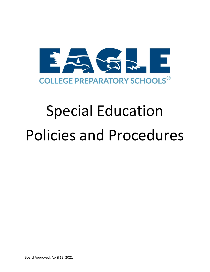

# Special Education Policies and Procedures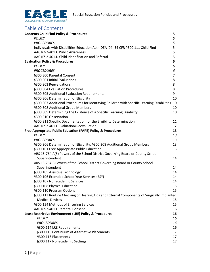

# Table of Contents

| <b>Contents Child Find Policy &amp; Procedures</b>                                          | 5  |
|---------------------------------------------------------------------------------------------|----|
| POLICY                                                                                      | 5  |
| <b>PROCEDURES</b>                                                                           | 5  |
| Individuals with Disabilities Education Act (IDEA '04) 34 CFR §300.111 Child Find           | 5  |
| AAC R7-2-401.C Public Awareness                                                             | 5  |
| AAC R7-2-401.D Child Identification and Referral                                            | 5  |
| <b>Evaluation Policy &amp; Procedures</b>                                                   | 6  |
| POLICY                                                                                      | 6  |
| <b>PROCEDURES</b>                                                                           | 6  |
| §300.300 Parental Consent                                                                   | 7  |
| §300.301 Initial Evaluations                                                                | 8  |
| §300.303 Reevaluations                                                                      | 8  |
| §300.304 Evaluation Procedures                                                              | 8  |
| §300.305 Additional Evaluation Requirements                                                 | 9  |
| §300.306 Determination of Eligibility                                                       | 10 |
| §300.307 Additional Procedures for Identifying Children with Specific Learning Disabilities | 10 |
| §300.308 Additional Group Members                                                           | 10 |
| §300.309 Determining the Existence of a Specific Learning Disability                        | 10 |
| §300.310 Observation                                                                        | 11 |
| §300.311 Specific Documentation for the Eligibility Determination                           | 11 |
| AAC R7-2-401.E Evaluation/Reevaluation                                                      | 12 |
| Free Appropriate Public Education (FAPE) Policy & Procedures                                | 13 |
| <b>POLICY</b>                                                                               | 13 |
| <b>PROCEDURES</b>                                                                           | 13 |
| §300.306 Determination of Eligibility, §300.308 Additional Group Members                    | 13 |
| §300.101 Free Appropriate Public Education                                                  | 13 |
| ARS 15-764.A(5) Powers of the School District Governing Board or County School              |    |
| Superintendent                                                                              | 14 |
| ARS 15-764.B Powers of the School District Governing Board or County School                 |    |
| Superintendent                                                                              | 14 |
| §300.105 Assistive Technology                                                               | 14 |
| §300.106 Extended School Year Services (ESY)                                                | 14 |
| §300.107 Nonacademic Services                                                               | 14 |
| §300.108 Physical Education                                                                 | 15 |
| §300.110 Program Options                                                                    | 15 |
| §300.113 Routine Checking of Hearing Aids and External Components of Surgically Implanted   |    |
| <b>Medical Devices</b>                                                                      | 15 |
| §300.154 Methods of Ensuring Services                                                       | 15 |
| AAC R7-2-401.F Parental Consent                                                             | 16 |
| <b>Least Restrictive Environment (LRE) Policy &amp; Procedures</b>                          | 16 |
| POLICY                                                                                      | 16 |
| <b>PROCEDURES</b>                                                                           | 16 |
| §300.114 LRE Requirements                                                                   | 16 |
| §300.115 Continuum of Alternative Placements                                                | 17 |
| §300.116 Placements                                                                         | 17 |
| §300.117 Nonacademic Settings                                                               | 17 |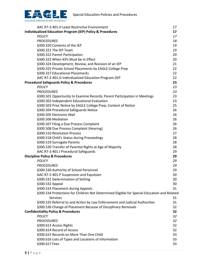

| AAC R7-2-401.H Least Restrictive Environment                                                | 17 |
|---------------------------------------------------------------------------------------------|----|
| <b>Individualized Education Program (IEP) Policy &amp; Procedures</b>                       | 17 |
| <b>POLICY</b>                                                                               | 17 |
| <b>PROCEDURES</b>                                                                           | 18 |
| §300.320 Contents of the IEP                                                                | 19 |
| §300.321 The IEP Team                                                                       | 19 |
| §300.322 Parent Participation                                                               | 20 |
| §300.323 When IEPs Must be in Effect                                                        | 20 |
| §300.324 Development, Review, and Revision of an IEP                                        | 21 |
| §300.325 Private School Placements by EAGLE College Prep                                    | 22 |
| §300.327 Educational Placements                                                             | 22 |
| AAC R7-2-401.G Individualized Education Program (IEP                                        | 22 |
| <b>Procedural Safeguards Policy &amp; Procedures</b>                                        | 23 |
| <b>POLICY</b>                                                                               | 23 |
| <b>PROCEDURES</b>                                                                           | 23 |
| §300.501 Opportunity to Examine Records; Parent Participation in Meetings                   | 23 |
| §300.502 Independent Educational Evaluation                                                 | 23 |
| §300.503 Prior Notice by EAGLE College Prep; Content of Notice                              | 25 |
| §300.504 Procedural Safeguards Notice                                                       | 26 |
| §300.505 Electronic Mail                                                                    | 26 |
| §300.506 Mediation                                                                          | 26 |
| §300.507 Filing a Due Process Complaint                                                     | 26 |
| §300.508 Due Process Complaint (Hearing)                                                    | 26 |
| §300.510 Resolution Process                                                                 | 27 |
| §300.518 Child's Status during Proceedings                                                  | 28 |
| §300.519 Surrogate Parents                                                                  | 28 |
| §300.520 Transfer of Parental Rights at Age of Majority                                     | 28 |
| AAC R7-2-401.I Procedural Safeguards                                                        | 29 |
| <b>Discipline Policy &amp; Procedures</b>                                                   | 29 |
| <b>POLICY</b>                                                                               | 29 |
| <b>PROCEDURES</b>                                                                           | 29 |
| §300.530 Authority of School Personnel                                                      | 29 |
| AAC R7-2-401.P Suspension and Expulsion                                                     | 30 |
| §300.531 Determination of Setting                                                           | 30 |
| §300.532 Appeal                                                                             | 30 |
| §300.533 Placement during Appeals                                                           | 31 |
| §300.534 Protections for Children Not Determined Eligible for Special Education and Related |    |
| Services                                                                                    | 31 |
| §300.535 Referral to and Action by Law Enforcement and Judicial Authorities                 | 31 |
| §300.536 Change of Placement Because of Disciplinary Removals                               | 32 |
| <b>Confidentiality Policy &amp; Procedures</b>                                              | 32 |
| <b>POLICY</b>                                                                               | 32 |
| <b>PROCEDURES</b>                                                                           | 32 |
| §300.613 Access Rights                                                                      | 32 |
| §300.614 Record of Access                                                                   | 32 |
| §300.615 Records on More Than One Child                                                     | 33 |
| §300.616 Lists of Types and Locations of Information                                        | 33 |
| §300.617 Fees                                                                               | 33 |
|                                                                                             |    |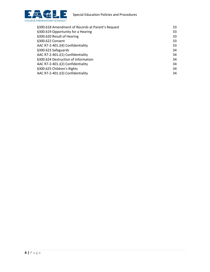



| 33 |
|----|
| 33 |
| 33 |
| 33 |
| 33 |
| 34 |
| 34 |
| 34 |
| 34 |
| 34 |
| 34 |
|    |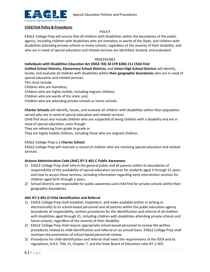

#### **Child Find Policy & Procedures**

## *POLICY*

EAGLE College Prep will ensure that all children with disabilities within the boundaries of the public agency, including children with disabilities who are homeless or wards of the State, and children with disabilities attending private schools or home schools, regardless of the severity of their disability, and who are in need of special education and related services are identified, located, and evaluated.

## *PROCEDURES*

# **Individuals with Disabilities Education Act (IDEA '04) 34 CFR §300.111 Child Find**

**Unified School Districts, Elementary School Districts,** and **Union High School Districts** will identify, locate, and evaluate all children with disabilities within **their geographic boundaries** who are in need of special education and related services.

This must include:

Children who are homeless;

Children who are highly mobile, including migrant children;

Children who are wards of the state; and,

Children who are attending private schools or home schools.

**Charter Schools** will identify, locate, and evaluate all children with disabilities within their population served who are in need of special education and related services.

Child find must also include children who are suspected of being children with a disability and are in need of special education, even though:

They are advancing from grade to grade or

They are highly mobile children, including those who are migrant children.

# EAGLE College Prep is a **Charter School.**

EAGLE College Prep will maintain a record of children who are receiving special education and related services.

# **Arizona Administrative Code (AAC) R7-2-401.C Public Awareness**

- 1) EAGLE College Prep shall inform the general public and all parents within its boundaries of responsibility of the availability of special education services for students aged 3 through 21 years and how to access those services, including information regarding early intervention services for children aged birth through 2 years.
- 2) School Districts are responsible for public awareness and child find for private schools within their geographic boundaries.

#### **AAC R7-2-401.D Child Identification and Referral**

- 1) EAGLE College Prep shall establish, implement, and make available (either in writing or electronically) to its school-based personnel and all parents within the public education agency boundaries of responsibility, written procedures for the identification and referral of all children with disabilities aged through 21, including children with disabilities attending private schools and home schools, regardless of the severity of their disability.
- 2) EAGLE College Prep shall require appropriate school-based personnel to review the written procedures related to child identification and referral on an annual basis. EAGLE College Prep shall maintain documentation of school-based personnel review.
- 3) Procedures for child identification and referral shall meet the requirements of the IDEA and its regulations, A.R.S. Title 15, Chapter 7, and the State Board of Education rules R7-2-401.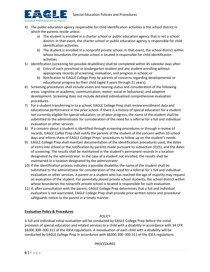

- 4) The public education agency responsible for child identification activities is the school district in which the parents reside unless:
	- a) The student is enrolled in a charter school or public education agency that is not a school district. In that event, the charter school or public education agency is responsible for child identification activities;
	- b) The student is enrolled in a nonprofit private school. In that event, the school district within whose boundaries the private school is located is responsible for child identification activities.
- 5) Identification (screening for possible disabilities) shall be completed within 45 calendar days after:
	- a) Entry of each preschool or kindergarten student and any student enrolling without appropriate records of screening, evaluation, and progress in school; or
	- b) Notification to EAGLE College Prep by parents of concerns regarding developmental or educational progress by their child (aged 3 years through 21 years).
- 6) Screening procedures shall include vision and hearing status and consideration of the following areas: cognitive or academic; communication; motor; social or behavioral; and adaptive development. Screening does not include detailed individualized comprehensive evaluation procedures.
- 7) For a student transferring in to a school, EAGLE College Prep shall review enrollment data and educational performance in the prior school. If there is a history of special education for a student not currently eligible for special education, or of poor progress, the name of the student shall be submitted to the administrator for consideration of the need for a referral for a full and individual evaluation or other services.
- 8) If a concern about a student is identified through screening procedures or through a review of records, EAGLE Collee Prep shall notify the parents of the student of the concern within 10 school days and inform them of EAGLE College Preps' procedures to follow up on the student's needs.
- 9) EAGLE College Prep shall maintain documentation of the identification procedures used, the dates of entry into school or the notification by parents made pursuant to subsection (D)(5), and the dates of screening. The results shall be maintained in the student's permanent records in a location designated by the administrator. In the case of a student not enrolled, the results shall be maintained in a location designated by the administrator.
- 10) If the identification process indicates a possible disability, the name of the student shall be submitted to the administrator for consideration of the need for a referral for a full and individual evaluation or other services. A parent or a student who has reached the age of majority may request an evaluation of the student. For parentally placed private school students, the school district within whose boundaries the nonprofit private school is located is responsible for such evaluation.
- 11) If, after consultation with the parent, EAGLE College Prep determines that a full and individual evaluation is not warranted, EAGLE College Prep shall provide prior written notice and procedural safeguards notice to the parent in a timely manner.

# **Evaluation Policy & Procedures**

# *POLICY*

A full and individual initial evaluation will be conducted by EAGLE College Prep before the initial provision of special education and related services to a child with a disability in accordance with 34 CFR §§300.300–300.311 of the IDEA regulations. A reevaluation of each child with a disability will be conducted by EAGLE College Prep in accordance with §§300.300–300.311 of the IDEA regulations.

#### *PROCEDURES*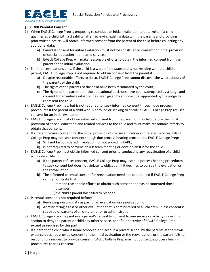

#### **§300.300 Parental Consent**

- 1) When EAGLE College Prep is proposing to conduct an initial evaluation to determine if a child qualifies as a child with a disability, after reviewing existing data with the parents and providing prior written notice, will obtain informed consent from the parent of the child before collecting any additional data.
	- a) Parental consent for initial evaluation must not be construed as consent for initial provision of special education and related services.
	- b) EAGLE College Prep will make reasonable efforts to obtain the informed consent from the parent for an initial evaluation.
- 2) For initial evaluations only, if the child is a ward of the state and is not residing with the child's parent, EAGLE College Prep is not required to obtain consent from the parent if:
	- a) Despite reasonable efforts to do so, EAGLE College Prep cannot discover the whereabouts of the parents of the child;
	- b) The rights of the parents of the child have been terminated by the court;
	- c) The rights of the parent to make educational decisions have been subrogated by a judge and consent for an initial evaluation has been given by an individual appointed by the judge to represent the child.
- 3) EAGLE College Prep may, but is not required to, seek informed consent through due process procedures if the parent of a child who is enrolled or seeking to enroll in EAGLE College Prep refuses consent for an initial evaluation.
- 4) EAGLE College Prep must obtain informed consent from the parent of the child before the initial provision of special education and related services to the child and must make reasonable efforts to obtain that consent.
- 5) If a parent refuses consent for the initial provision of special education and related services, EAGLE College Prep may not seek consent though due process hearing procedures. EAGLE College Prep:
	- a) Will not be considered in violation for not providing FAPE;
	- b) Is not required to convene an IEP team meeting or develop an IEP for the child.
- 6) EAGLE College Prep must obtain informed consent prior to conducting any reevaluation of a child with a disability.
	- a) If the parent refuses consent, EAGLE College Prep may use due process hearing procedures to seek consent but does not violate its obligation if it declines to pursue the evaluation or the reevaluation.
	- b) The informed parental consent for reevaluation need not be obtained if EAGLE College Prep can demonstrate that:
		- i) it made reasonable efforts to obtain such consent and has documented those attempts;
		- ii)the child's parent has failed to respond.
- 7) Parental consent is not required before:
	- a) Reviewing existing data as part of an evaluation or reevaluation; or
	- b) Administering a test or other evaluation that is administered to all children unless consent is required of parents of all children prior to administration.
- 8) EAGLE College Prep may not use a parent's refusal to consent to one service or activity under this section to deny the parent or child any other service, benefit, or activity of EAGLE College Prep except as required by this part.
- 9) If a parent of a child who is home schooled or placed in a private school by the parents at their own expense does not provide consent for the initial evaluation or the reevaluation, or the parent fails to respond to a request to provide consent, EAGLE College Prep may not utilize due process hearing procedures to seek consent.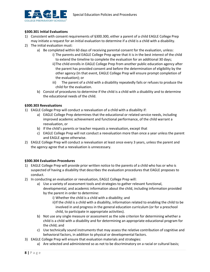

# **§300.301 Initial Evaluations**

- 1) Consistent with consent requirements of §300.300, either a parent of a child EAGLE College Prep may initiate a request for an initial evaluation to determine if a child is a child with a disability.
- 2) The initial evaluation must:
	- a) Be completed within 60 days of receiving parental consent for the evaluation, unless:
		- i) The parents and EAGLE College Prep agree that it is in the best interest of the child to extend the timeline to complete the evaluation for an additional 30 days;
			- ii)The child enrolls in EAGLE College Prep from another public education agency after the parent has provided consent and before the determination of eligibility by the other agency (In that event, EAGLE College Prep will ensure prompt completion of the evaluation); or
			- iii) The parent of a child with a disability repeatedly fails or refuses to produce the child for the evaluation.
		- b) Consist of procedures to determine if the child is a child with a disability and to determine the educational needs of the child.

#### **§300.303 Reevaluations**

- 1) EAGLE College Prep will conduct a reevaluation of a child with a disability if:
	- a) EAGLE College Prep determines that the educational or related service needs, including improved academic achievement and functional performance, of the child warrant a reevaluation, or
	- b) If the child's parents or teacher requests a reevaluation, except that
	- c) EAGLE College Prep will not conduct a reevaluation more than once a year unless the parent and EAGLE agree otherwise.
- 2) EAGLE College Prep will conduct a reevaluation at least once every 3 years, unless the parent and the agency agree that a reevaluation is unnecessary.

# **§300.304 Evaluation Procedures**

- 1) EAGLE College Prep will provide prior written notice to the parents of a child who has or who is suspected of having a disability that describes the evaluation procedures that EAGLE proposes to conduct.
- 2) In conducting an evaluation or reevaluation, EAGLE College Prep will:
	- a) Use a variety of assessment tools and strategies to gather relevant functional, developmental, and academic information about the child, including information provided by the parent in order to determine:
		- i) Whether the child is a child with a disability; and
		- ii)If the child is a child with a disability, information related to enabling the child to be involved in and progress in the general education curriculum (or for a preschool child, to participate in appropriate activities).
	- b) Not use any single measure or assessment as the sole criterion for determining whether a child is a child with a disability and for determining an appropriate educational program for the child; and
	- c) Use technically sound instruments that may assess the relative contribution of cognitive and behavioral factors, in addition to physical or developmental factors.
- 3) EAGLE College Prep will ensure that evaluation materials and strategies:
	- a) Are selected and administered so as not to be discriminatory on a racial or cultural basis;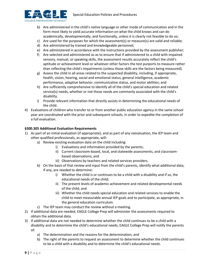

- b) Are administered in the child's native language or other mode of communication and in the form most likely to yield accurate information on what the child knows and can do academically, developmentally, and functionally, unless it is clearly not feasible to do so;
- c) Are used for the purposes for which the assessment(s) or measure(s) are valid and reliable;
- d) Are administered by trained and knowledgeable personnel;
- e) Are administered in accordance with the instructions provided by the assessment publisher;
- f) Are selected and administered so as to ensure that if administered to a child with impaired sensory, manual, or speaking skills, the assessment results accurately reflect the child's aptitude or achievement level or whatever other factors the test purports to measure rather than reflecting the child's impairments (unless those skills are the factors being measured).
- g) Assess the child in all areas related to the suspected disability, including, if appropriate, health, vision, hearing, social and emotional status, general intelligence, academic performance, adaptive behavior, communicative status, and motor abilities; and
- h) Are sufficiently comprehensive to identify all of the child's special education and related service(s) needs, whether or not those needs are commonly associated with the child's disability.
- i) Provide relevant information that directly assists in determining the educational needs of the child.
- 4) Evaluations of children who transfer to or from another public education agency in the same school year are coordinated with the prior and subsequent schools, in order to expedite the completion of a full evaluation.

# **§300.305 Additional Evaluation Requirements**

- 1) As part of an initial evaluation (if appropriate), and as part of any reevaluation, the IEP team and other qualified professionals, as appropriate, will:
	- a) Review existing evaluation data on the child including:
		- i) Evaluations and information provided by the parents;
		- ii) Current classroom-based, local, and statewide assessments, and classroombased observations; and
		- iii) Observations by teachers and related services providers.
	- b) On the basis of that review and input from the child's parents, identify what additional data, if any, are needed to determine:
		- i) Whether the child is or continues to be a child with a disability and if so, the educational needs of the child;
		- ii) The present levels of academic achievement and related developmental needs of the child; and
		- iii) Whether the child needs special education and related services to enable the child to meet measurable annual IEP goals and to participate, as appropriate, in the general education curriculum.
	- c) The IEP team may conduct the review without a meeting.
- 2) If additional data are needed, EAGLE College Prep will administer the assessments required to obtain the additional data.
- 3) If additional data are not needed to determine whether the child continues to be a child with a disability and to determine the child's educational needs, EAGLE College Prep will notify the parents of:
	- a) The determination and the reasons for the determination; and
	- b) The right of the parents to request an assessment to determine whether the child continues to be a child with a disability and to determine the child's educational needs.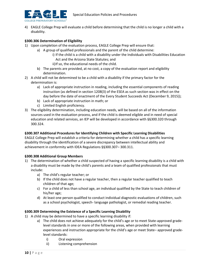

4) EAGLE College Prep will evaluate a child before determining that the child is no longer a child with a disability.

# **§300.306 Determination of Eligibility**

- 1) Upon completion of the evaluation process, EAGLE College Prep will ensure that:
	- a) A group of qualified professionals and the parent of the child determine:
		- i) If the child is a child with a disability under the Individuals with Disabilities Education Act and the Arizona State Statutes; and
			- ii)If so, the educational needs of the child.
	- b) The parents are provided, at no cost, a copy of the evaluation report and eligibility determination.
- 2) A child will not be determined to be a child with a disability if the primary factor for the determination is:
	- a) Lack of appropriate instruction in reading, including the essential components of reading instruction (as defined in section 1208(3) of the ESEA as such section was in effect on the day before the date of enactment of the Every Student Succeeds Act (December 9, 2015));
	- b) Lack of appropriate instruction in math; or
	- c) Limited English proficiency.
- 3) The eligibility determination, including education needs, will be based on all of the information sources used in the evaluation process, and if the child is deemed eligible and in need of special education and related services, an IEP will be developed in accordance with §§300.320 through 300.324.

# **§300.307 Additional Procedures for Identifying Children with Specific Learning Disabilities**

EAGLE College Prep will establish a criteria for determining whether a child has a specific learning disability through the identification of a severe discrepancy between intellectual ability and achievement in conformity with IDEA Regulations §§300.307– 300.311.

#### **§300.308 Additional Group Members**

- 1) The determination of whether a child suspected of having a specific learning disability is a child with a disability must be made by the child's parents and a team of qualified professionals that must include:
	- a) The child's regular teacher; or
	- b) If the child does not have a regular teacher, then a regular teacher qualified to teach children of that age;
	- c) For a child of less than school age, an individual qualified by the State to teach children of his/her age;
	- d) At least one person qualified to conduct individual diagnostic evaluations of children, such as a school psychologist, speech- language pathologist, or remedial reading teacher.

#### **§300.309 Determining the Existence of a Specific Learning Disability**

- 1) A child may be determined to have a specific learning disability if:
	- a) The child does not achieve adequately for the child's age or to meet State-approved gradelevel standards in one or more of the following areas, when provided with learning experiences and instruction appropriate for the child's age or meet State– approved gradelevel standards:
		- i) Oral expression
		- ii) Listening comprehension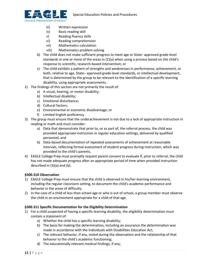



- iii) Written expression
- iv) Basic reading skill
- v) Reading fluency skills
- vi) Reading comprehension
- vii) Mathematics calculation
- viii) Mathematics problem solving
- b) The child does not make sufficient progress to meet age or State- approved grade-level standards in one or more of the areas in  $(1)(a)$  when using a process based on the child's response to scientific, research-based intervention; or
- c) The child exhibits a pattern of strengths and weaknesses in performance, achievement, or both, relative to age, State– approved grade-level standards, or intellectual development, that is determined by the group to be relevant to the identification of a specific learning disability, using appropriate assessments.
- 2) The findings of this section are not primarily the result of:
	- a) A visual, hearing, or motor disability;
	- b) Intellectual disability;
	- c) Emotional disturbance;
	- d) Cultural factors;
	- e) Environmental or economic disadvantage; or
	- f) Limited English proficiency.
- 3) The group must ensure that the underachievement is not due to a lack of appropriate instruction in reading or math and must consider:
	- a) Data that demonstrate that prior to, or as part of, the referral process, the child was provided appropriate instruction in regular education settings, delivered by qualified personnel; and
	- b) Data-based documentation of repeated assessments of achievement at reasonable intervals, reflecting formal assessment of student progress during instruction, which was provided to the child's parents.
- 4) EAGLE College Prep must promptly request parent consent to evaluate if, prior to referral, the child has not made adequate progress after an appropriate period of time when provided instruction described in (3)(a) and (b).

# **§300.310 Observation**

- 1) EAGLE College Prep must ensure that the child is observed in his/her learning environment, including the regular classroom setting, to document the child's academic performance and behavior in the areas of difficulty.
- 2) In the case of a child of less than school age or who is out of school, a group member must observe the child in an environment appropriate for a child of that age.

# **§300.311 Specific Documentation for the Eligibility Determination**

- 1) For a child suspected of having a specific learning disability, the eligibility determination must contain a statement of:
	- a) Whether the child has a specific learning disability;
	- b) The basis for making the determination, including an assurance the determination was made in accordance with the Individuals with Disabilities Education Act;
	- c) The relevant behavior, if any, noted during the observation and the relationship of that behavior to the child's academic functioning;
	- d) The educationally relevant medical findings, if any;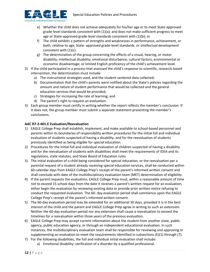

- e) Whether the child does not achieve adequately for his/her age or to meet State-approved grade-level standards consistent with  $(1)(a)$ ; and does not make sufficient progress to meet age or State-approved grade-level standards consistent with (1)(b); or
- f) The child exhibits a pattern of strengths and weaknesses in performance, achievement, or both, relative to age, State- approved grade-level standards. or intellectual development consistent with (1)(c).
- g) The determination of the group concerning the effects of a visual, hearing, or motor disability; intellectual disability; emotional disturbance; cultural factors; environmental or economic disadvantage; or limited English proficiency of the child's achievement level.
- 2) If the child participated in a process that assessed the child's response to scientific, research-based intervention, the determination must include:
	- a) The instructional strategies used, and the student-centered data collected;
	- b) Documentation that the child's parents were notified about the State's policies regarding the amount and nature of student performance that would be collected and the general education services that would be provided;
	- c) Strategies for increasing the rate of learning; and
	- d) The parent's right to request an evaluation.
- 3) Each group member must certify in writing whether the report reflects the member's conclusion. If it does not, the group member must submit a separate statement presenting the member's conclusions.

#### **AAC R7-2-401.E Evaluation/Reevaluation**

- 1) EAGLE College Prep shall establish, implement, and make available to school-based personnel and parents within its boundaries of responsibility written procedures for the initial full and individual evaluation of students suspected of having a disability, and for the reevaluation of students previously identified as being eligible for special education.
- 2) Procedures for the initial full and individual evaluation of children suspected of having a disability and for the reevaluation of students with disabilities shall meet the requirements of IDEA and its regulations, state statutes, and State Board of Education rules.
- 3) The initial evaluation of a child being considered for special education, or the reevaluation per a parental request of a student already receiving special education services, shall be conducted within 60 calendar days from EAGLE College Prep's receipt of the parent's informed written consent and shall conclude with date of the multidisciplinary evaluation team (MET) determination of eligibility.
- 4) If the parent requests the evaluation, EAGLE College Prep must, within a reasonable amount of time not to exceed 15 school days from the date it receives a parent's written request for an evaluation, either begin the evaluation by reviewing existing data or provide prior written notice refusing to conduct the requested evaluation. The 60- day evaluation period shall commence upon the EAGLE College Prep's receipt of the parent's informed written consent.
- 5) The 60-day evaluation period may be extended for an additional 30 days, provided it is in the best interest of the child and the parent and EAGLE College Prep agree in writing to such an extension. Neither the 60-day evaluation period nor any extension shall cause a reevaluation to exceed the timelines for a reevaluation within three years of the previous evaluation.
- 6) EAGLE College Prep may accept current information about the student from another state, public agency, public education agency, or through an independent educational evaluation. In such instances, the multidisciplinary evaluation team shall be responsible for reviewing and approving or supplementing an evaluation to meet the requirements identified in subsections (E)(1) through (7).
- 7) For the following disabilities, the full and individual initial evaluation shall include:
	- a) Emotional disability: verification of a disorder by a qualified professional.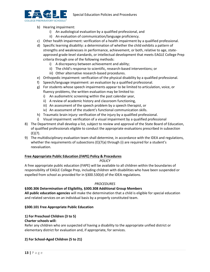

- b) Hearing impairment:
	- i) An audiological evaluation by a qualified professional, and
	- ii) An evaluation of communication/language proficiency.
- c) Other health impairment: verification of a health impairment by a qualified professional.
- d) Specific learning disability: a determination of whether the child exhibits a pattern of strengths and weaknesses in performance, achievement, or both, relative to age, stateapproved grade-level standards, or intellectual development that meets EAGLE College Prep criteria through one of the following methods:
	- i) A discrepancy between achievement and ability;
	- ii) The child's response to scientific, research-based interventions; or
	- iii) Other alternative research-based procedures.
- e) Orthopedic impairment: verification of the physical disability by a qualified professional.
- f) Speech/language impairment: an evaluation by a qualified professional.
- g) For students whose speech impairments appear to be limited to articulation, voice, or fluency problems, the written evaluation may be limited to:
	- i) An audiometric screening within the past calendar year,
	- ii) A review of academic history and classroom functioning,
	- iii) An assessment of the speech problem by a speech therapist, or
	- iv) An assessment of the student's functional communication skills.
- h) Traumatic brain injury: verification of the injury by a qualified professional.
- i) Visual impairment: verification of a visual impairment by a qualified professional
- 8) The Department shall develop a list, subject to review and approval of the State Board of Education, of qualified professionals eligible to conduct the appropriate evaluations prescribed in subsection (E)(7).
- 9) The multidisciplinary evaluation team shall determine, in accordance with the IDEA and regulations, whether the requirements of subsections (E)(7(a) through (i) are required for a student's reevaluation.

#### **Free Appropriate Public Education (FAPE) Policy & Procedures**

#### *POLICY*

A free appropriate public education (FAPE) will be available to all children within the boundaries of responsibility of EAGLE College Prep, including children with disabilities who have been suspended or expelled from school as provided for in §300.530(d) of the IDEA regulations.

#### *PROCEDURES*

#### **§300.306 Determination of Eligibility, §300.308 Additional Group Members**

**All public education agencies** will make the determination that a child is eligible for special education and related services on an individual basis by a properly constituted team.

#### **§300.101 Free Appropriate Public Education**

#### **1) For Preschool Children (3 to 5)**

#### **Charter schools will:**

Refer any children who are suspected of having a disability to the appropriate unified district or elementary district for evaluation and, if appropriate, for services.

#### **2) For School-Aged Children (5 to 21)**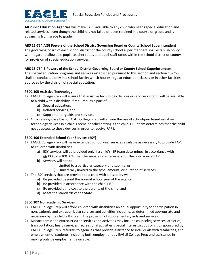

**All Public Education Agencies** will make FAPE available to any child who needs special education and related services, even though the child has not failed or been retained in a course or grade, and is advancing from grade to grade.

#### **ARS 15-764.A(5) Powers of the School District Governing Board or County School Superintendent**

The governing board of each school district or the county school superintendent shall establish policy with regard to allowable pupil- teacher ratios and pupil-staff ratios within the school district or county for provision of special education services.

#### **ARS 15-764.B Powers of the School District Governing Board or County School Superintendent**

The special education programs and services established pursuant to this section and section 15-765 shall be conducted only in a school facility which houses regular education classes or in other facilities approved by the division of special education.

#### **§300.105 Assistive Technology**

- 1) EAGLE College Prep will ensure that assistive technology devices or services or both will be available to a child with a disability, if required, as a part of:
	- a) Special education,
	- b) Related services, and
	- c) Supplementary aids and services.
- 2) On a case-by-case basis, EAGLE College Prep will ensure the use of school-purchased assistive technology devices in a child's home or other setting if the child's IEP team determines that the child needs access to those devices in order to receive FAPE.

## **§300.106 Extended School Year Services (ESY)**

- 1) EAGLE College Prep will make extended school year services available as necessary to provide FAPE to children with disabilities.
	- a) ESY services will be provided only if a child's IEP team determines, in accordance with §§300.320–300.324, that the services are necessary for the provision of FAPE.
	- b) Services will not be:
		- i) Limited to a particular category of disability; or
		- ii) Unilaterally limited to the type, amount, or duration of services.
- 2) The ESY services that are provided to a child with a disability will:
	- a) Be provided beyond the normal school year of the agency;
	- b) Be provided in accordance with the child's IEP;
	- c) Be provided at no cost to the parents of the child; and
	- d) Meet the standards of the State.

#### **§300.107 Nonacademic Services**

- 1) EAGLE College Prep will afford children with disabilities an equal opportunity for participation in nonacademic and extracurricular services and activities including, as determined appropriate and necessary by the child's IEP team, the provision of supplementary aids and services.
- 2) Nonacademic and extracurricular services and activities may include counseling services, athletics, transportation, health services, recreational activities, special interest groups or clubs sponsored by EAGLE College Prep, referrals to agencies that provide assistance to individuals with disabilities, and employment of students, including both employment by EAGLE College Prep and assistance in making outside employment available.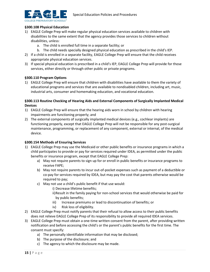

# **§300.108 Physical Education**

- 1) EAGLE College Prep will make regular physical education services available to children with disabilities to the same extent that the agency provides those services to children without disabilities, unless:
	- a. The child is enrolled full time in a separate facility; or
	- b. The child needs specially designed physical education as prescribed in the child's IEP.
- 2) If a child is enrolled in a separate facility, EAGLE College Prep will ensure that the child receives appropriate physical education services.
- 3) If special physical education is prescribed in a child's IEP, EAGLE College Prep will provide for those services, either directly or through other public or private programs.

#### **§300.110 Program Options**

1) EAGLE College Prep will ensure that children with disabilities have available to them the variety of educational programs and services that are available to nondisabled children, including art, music, industrial arts, consumer and homemaking education, and vocational education.

# **§300.113 Routine Checking of Hearing Aids and External Components of Surgically Implanted Medical Devices**

- 1) EAGLE College Prep will ensure that the hearing aids worn in school by children with hearing impairments are functioning properly; and
- 2) The external components of surgically implanted medical devices (e.g., cochlear implants) are functioning properly, except that EAGLE College Prep will not be responsible for any post-surgical maintenance, programming, or replacement of any component, external or internal, of the medical device.

#### **§300.154 Methods of Ensuring Services**

- 1) EAGLE College Prep may use the Medicaid or other public benefits or insurance programs in which a child participates to provide or pay for services required under IDEA, as permitted under the public benefits or insurance program, except that EAGLE College Prep:
	- a) May not require parents to sign up for or enroll in public benefits or insurance programs to receive FAPE;
	- b) May not require parents to incur out-of-pocket expenses such as payment of a deductible or co-pay for services required by IDEA, but may pay the cost that parents otherwise would be required to pay;
	- c) May not use a child's public benefit if that use would:
		- i) Decrease lifetime benefits;
		- ii)Result in the family paying for non-school services that would otherwise be paid for by public benefits;
		- iii) Increase premiums or lead to discontinuation of benefits; or
		- iv) Risk loss of eligibility.
- 2) EAGLE College Prep must notify parents that their refusal to allow access to their public benefits does not relieve EAGLE College Prep of its responsibility to provide all required IDEA services.
- 3) EAGLE College Prep must obtain a one-time written consent from the parent, after providing written notification and before accessing the child's or the parent's public benefits for the first time. The consent must specify:
	- a) The personally identifiable information that may be disclosed;
	- b) The purpose of the disclosure; and
	- c) The agency to which the disclosure may be made.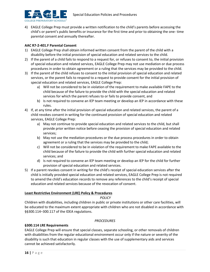

4) EAGLE College Prep must provide a written notification to the child's parents before accessing the child's or parent's public benefits or insurance for the first time and prior to obtaining the one- time parental consent and annually thereafter.

#### **AAC R7-2-401.F Parental Consent**

- 1) EAGLE College Prep shall obtain informed written consent from the parent of the child with a disability before the initial provision of special education and related services to the child.
- 2) If the parent of a child fails to respond to a request for, or refuses to consent to, the initial provision of special education and related services, EAGLE College Prep may not use mediation or due process procedures in order to obtain agreement or a ruling that the services may be provided to the child.
- 3) If the parent of the child refuses to consent to the initial provision of special education and related services, or the parent fails to respond to a request to provide consent for the initial provision of special education and related services, EAGLE College Prep:
	- a) Will not be considered to be in violation of the requirement to make available FAPE to the child because of the failure to provide the child with the special education and related services for which the parent refuses to or fails to provide consent, and
	- b) Is not required to convene an IEP team meeting or develop an IEP in accordance with these rules.
- 4) If, at any time after the initial provision of special education and related services, the parent of a child revokes consent in writing for the continued provision of special education and related services, EAGLE College Prep:
	- a) May not continue to provide special education and related services to the child, but shall provide prior written notice before ceasing the provision of special education and related services;
	- b) May not use the mediation procedures or the due process procedures in order to obtain agreement or a ruling that the services may be provided to the child;
	- c) Will not be considered to be in violation of the requirement to make FAPE available to the child because of the failure to provide the child with further special education and related services; and
	- d) Is not required to convene an IEP team meeting or develop an IEP for the child for further provision of special education and related services.
- 5) If a parent revokes consent in writing for the child's receipt of special education services after the child is initially provided special education and related services, EAGLE College Prep is not required to amend the child's education records to remove any references to the child's receipt of special education and related services because of the revocation of consent.

#### **Least Restrictive Environment (LRE) Policy & Procedures**

#### *POLICY*

Children with disabilities, including children in public or private institutions or other care facilities, will be educated to the maximum extent appropriate with children who are not disabled in accordance with §§300.114–300.117 of the IDEA regulations.

#### *PROCEDURES*

#### **§300.114 LRE Requirements**

EAGLE College Prep will ensure that special classes, separate schooling, or other removals of children with disabilities from the regular educational environment occur only if the nature or severity of the disability is such that education in regular classes with the use of supplementary aids and services cannot be achieved satisfactorily.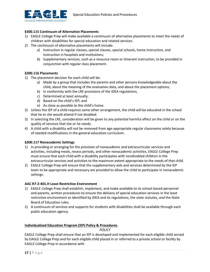

#### **§300.115 Continuum of Alternative Placements**

- 1) EAGLE College Prep will make available a continuum of alternative placements to meet the needs of children with disabilities for special education and related services.
- 2) The continuum of alternative placements will include:
	- a) Instruction in regular classes, special classes, special schools, home instruction, and instruction in hospitals and institutions;
	- b) Supplementary services, such as a resource room or itinerant instruction, to be provided in conjunction with regular class placement.

#### **§300.116 Placements**

- 1) The placement decision for each child will be:
	- a) Made by a group that includes the parents and other persons knowledgeable about the child, about the meaning of the evaluation data, and about the placement options;
	- b) In conformity with the LRE provisions of the IDEA regulations;
	- c) Determined at least annually;
	- d) Based on the child's IEP; and
	- e) As close as possible to the child's home.
- 2) Unless the IEP of a child requires some other arrangement, the child will be educated in the school that he or she would attend if not disabled.
- 3) In selecting the LRE, consideration will be given to any potential harmful effect on the child or on the quality of services that she or he needs.
- 4) A child with a disability will not be removed from age-appropriate regular classrooms solely because of needed modifications in the general education curriculum.

#### **§300.117 Nonacademic Settings**

- 1) In providing or arranging for the provision of nonacademic and extracurricular services and activities, including meals, recess periods, and other nonacademic activities, EAGLE College Prep must ensure that each child with a disability participates with nondisabled children in the extracurricular services and activities to the maximum extent appropriate to the needs of that child.
- 2) EAGLE College Prep will ensure that the supplementary aids and services determined by the IEP team to be appropriate and necessary are provided to allow the child to participate in nonacademic settings.

#### **AAC R7-2-401.H Least Restrictive Environment**

- 1) EAGLE College Prep shall establish, implement, and make available to its school-based personnel and parents, written procedures to ensure the delivery of special education services in the least restrictive environment as identified by IDEA and its regulations, the state statutes, and the State Board of Education rules.
- 2) A continuum of services and supports for students with disabilities shall be available through each public education agency.

#### **Individualized Education Program (IEP) Policy & Procedures**

*POLICY*

EAGLE College Prep shall ensure that an IEP is developed and implemented for each eligible child served by EAGLE College Prep and for each eligible child placed in or referred to a private school or facility by EAGLE College Prep in accordance with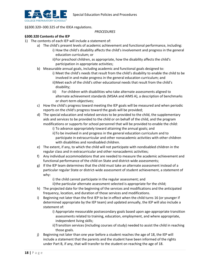

§§300.320–300.325 of the IDEA regulations.

#### *PROCEDURES*

#### **§300.320 Contents of the IEP**

- 1) The contents of each IEP will include a statement of:
	- a) The child's present levels of academic achievement and functional performance, including:
		- i) How the child's disability affects the child's involvement and progress in the general education curriculum; or
		- ii)For preschool children, as appropriate, how the disability affects the child's participation in appropriate activities;
	- b) Measurable annual goals, including academic and functional goals designed to:
		- i) Meet the child's needs that result from the child's disability to enable the child to be involved in and make progress in the general education curriculum; and
		- ii)Meet each of the child's other educational needs that result from the child's disability;
		- iii) For children with disabilities who take alternate assessments aligned to alternate achievement standards (MSAA and AIMS A), a description of benchmarks or short-term objectives;
	- c) How the child's progress toward meeting the IEP goals will be measured and when periodic reports on the child's progress toward the goals will be provided;
	- d) The special education and related services to be provided to the child, the supplementary aids and services to be provided to the child or on behalf of the child, and the program modifications or supports for school personnel that will be provided to enable the child:
		- i) To advance appropriately toward attaining the annual goals; and
		- ii)To be involved in and progress in the general education curriculum and to participate in extracurricular and other nonacademic activities with other children with disabilities and nondisabled children.
	- e) The extent, if any, to which the child will not participate with nondisabled children in the regular class and in extracurricular and other nonacademic activities;
	- f) Any individual accommodations that are needed to measure the academic achievement and functional performance of the child on State and district-wide assessments;
	- g) If the IEP team determines that the child must take an alternate assessment instead of a particular regular State or district-wide assessment of student achievement, a statement of why:
		- i) the child cannot participate in the regular assessment; and
		- ii)the particular alternate assessment selected is appropriate for the child;
	- h) The projected date for the beginning of the services and modifications and the anticipated frequency, location, and duration of those services and modifications.
	- i) Beginning not later than the first IEP to be in effect when the child turns 16 (or younger if determined appropriate by the IEP team) and updated annually, the IEP will also include a statement of:
		- i) Appropriate measurable postsecondary goals based upon age-appropriate transition assessments related to training, education, employment, and where appropriate, independent living skills;
		- ii)Transition services (including courses of study) needed to assist the child in reaching those goals.
	- j) Beginning not later than one year before a student reaches the age of 18, the IEP will include a statement that the parents and the student have been informed of the rights under Part B, if any, that will transfer to the student on reaching the age of 18.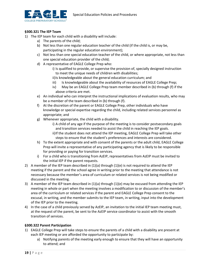

#### **§300.321 The IEP Team**

- 1) The IEP team for each child with a disability will include:
	- a) The parents of the child;
	- b) Not less than one regular education teacher of the child (if the child is, or may be, participating in the regular education environment);
	- c) Not less than one special education teacher of the child, or where appropriate, not less than one special education provider of the child;
	- d) A representative of EAGLE College Prep who:
		- i) Is qualified to provide, or supervise the provision of, specially designed instruction to meet the unique needs of children with disabilities;
		- ii)Is knowledgeable about the general education curriculum; and
		- iii) Is knowledgeable about the availability of resources of EAGLE College Prep;
		- iv) May be an EAGLE College Prep team member described in (b) through (f) if the above criteria are met.
	- e) An individual who can interpret the instructional implications of evaluation results, who may be a member of the team described in (b) through (f).
	- f) At the discretion of the parent or EAGLE College Prep, other individuals who have knowledge or special expertise regarding the child, including related services personnel as appropriate; and
	- g) Whenever appropriate, the child with a disability.
		- i) A child of any age if the purpose of the meeting is to consider postsecondary goals and transition services needed to assist the child in reaching the IEP goals.
		- ii)If the student does not attend the IEP meeting, EAGLE College Prep will take other steps to ensure that the student's preferences and interests are considered.
	- h) To the extent appropriate and with consent of the parents or the adult child, EAGLE College Prep will invite a representative of any participating agency that is likely to be responsible for providing or paying for transition services.
	- i) For a child who is transitioning from AzEIP, representatives from AzEIP must be invited to the initial IEP if the parent requests.
- 2) A member of the IEP team described in (1)(a) through (1)(e) is not required to attend the IEP meeting if the parent and the school agree in writing prior to the meeting that attendance is not necessary because the member's area of curriculum or related services is not being modified or discussed in the meeting.
- 3) A member of the IEP team described in (1)(a) through (1)(e) may be excused from attending the IEP meeting in whole or part when the meeting involves a modification to or discussion of the member's area of the curriculum or related services if the parent and EAGLE College Prep consent to the excusal, in writing, and the member submits to the IEP team, in writing, input into the development of the IEP prior to the meeting.
- 4) In the case of a child previously served by AzEIP, an invitation to the initial IEP team meeting must, at the request of the parent, be sent to the AzEIP service coordinator to assist with the smooth transition of services.

#### **§300.322 Parent Participation**

- 1) EAGLE College Prep will take steps to ensure the parents of a child with a disability are present at each IEP meeting or are afforded the opportunity to participate by:
	- a) Notifying parents of the meeting early enough to ensure that they will have an opportunity to attend; and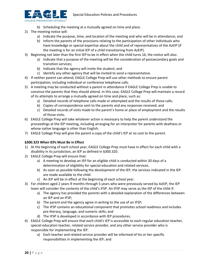

- b) Scheduling the meeting at a mutually agreed on time and place.
- 2) The meeting notice will:
	- a) Indicate the purpose, time, and location of the meeting and who will be in attendance; and
	- b) Inform the parents of the provisions relating to the participation of other individuals who have knowledge or special expertise about the child and of representatives of the AzEIP (if the meeting is for an initial IEP of a child transitioning from AzEIP).
- 3) Beginning not later than the first IEP to be in effect when the child turns 16, the notice will also:
	- a) Indicate that a purpose of the meeting will be the consideration of postsecondary goals and transition services;
	- b) Indicate that the agency will invite the student; and
	- c) Identify any other agency that will be invited to send a representative.
- 4) If neither parent can attend, EAGLE College Prep will use other methods to ensure parent participation, including individual or conference telephone calls.
- 5) A meeting may be conducted without a parent in attendance if EAGLE College Prep is unable to convince the parents that they should attend. In this case, EAGLE College Prep will maintain a record of its attempts to arrange a mutually agreed on time and place, such as:
	- a) Detailed records of telephone calls made or attempted and the results of those calls;
	- b) Copies of correspondence sent to the parents and any responses received; and
	- c) Detailed records of visits made to the parent's home or place of employment and the results of those visits.
- 6) EAGLE College Prep will take whatever action is necessary to help the parent understand the proceedings at the IEP meeting, including arranging for an interpreter for parents with deafness or whose native language is other than English.
- 7) EAGLE College Prep will give the parent a copy of the child's IEP at no cost to the parent.

#### **§300.323 When IEPs Must Be in Effect**

- 1) At the beginning of each school year, EAGLE College Prep must have in effect for each child with a disability in its jurisdiction, an IEP as defined in §300.320.
- 2) EAGLE College Prep will ensure that:
	- a) A meeting to develop an IEP for an eligible child is conducted within 30 days of a determination of eligibility for special education and related services.
	- b) As soon as possible following the development of the IEP, the services indicated in the IEP are made available to the child.
	- c) An IEP will be in effect at the beginning of each school year.
- 3) For children aged 2 years 9 months through 5 years who were previously served by AzEIP, the IEP team will consider the contents of the child's IFSP. An IFSP may serve as the IEP of the child if:
	- a) The agency has provided the parents with a detailed explanation of the differences between an IEP and an IFSP;
	- b) The parent and the agency agree in writing to the use of an IFSP;
	- c) The IFSP contains an educational component that promotes school readiness and includes pre-literacy, language, and numeric skills; and
	- d) The IFSP is developed in accordance with IEP procedures.
- 4) EAGLE College Prep will ensure that each child's IEP is accessible to each regular education teacher, special education teacher, related service provider, and any other service provider who is responsible for implementing the IEP.
	- a) Each teacher and related service provider will be informed of his or her specific responsibilities in implementing the IEP; and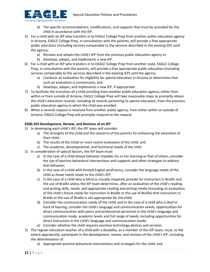

- b) The specific accommodations, modifications, and supports that must be provided for the child in accordance with the IEP.
- 5) For a child with an IEP who transfers in to EAGLE College Prep from another public education agency in Arizona, EAGLE College Prep, in consultation with the parents, will provide a free appropriate public education (including services comparable to the services described in the existing IEP) until the agency:
	- a) Reviews and adopts the child's IEP from the previous public education agency or
	- b) Develops, adopts, and implements a new IEP.
- 6) For a child with an IEP who transfers in to EAGLE College Prep from another state, EAGLE College Prep, in consultation with the parents, will provide a free appropriate public education (including services comparable to the services described in the existing IEP) until the agency:
	- a) Conducts an evaluation for eligibility for special education in Arizona or determines that such an evaluation is unnecessary; and
	- b) Develops, adopts, and implements a new IEP, if appropriate.
- 7) To facilitate the transition of a child enrolling from another public education agency, either from within or from outside of Arizona, EAGLE College Prep will take reasonable steps to promptly obtain the child's education records, including all records pertaining to special education, from the previous public education agency in which the child was enrolled.
- 8) When a records request is received from another public agency, from either within or outside of Arizona, EAGLE College Prep will promptly respond to the request.

#### **§300.324 Development, Review, and Revision of an IEP**

- 1) In developing each child's IEP, the IEP team will consider:
	- a) The strengths of the child and the concerns of the parents for enhancing the education of their child;
	- b) The results of the initial or most recent evaluation of the child; and
	- c) The academic, developmental, and functional needs of the child.
- 2) In consideration of special factors, the IEP team must:
	- a) In the case of a child whose behavior impedes his or her learning or that of others, consider the use of positive behavioral interventions and supports and other strategies to address that behavior;
	- b) In the case of a child with limited English proficiency, consider the language needs of the child as those needs relate to the child's IEP;
	- c) In the case of a child who is blind or visually impaired, provide for instruction in Braille and the use of Braille unless the IEP team determines, after an evaluation of the child's reading and writing skills, needs, and appropriate reading and writing media (including an evaluation of the child's future needs for instruction in Braille or the use of Braille) that instruction in Braille or the use of Braille is not appropriate for the child;
	- d) Consider the communication needs of the child, and in the case of a child who is deaf or hard of hearing, consider the child's language and communication needs, opportunities for direct communication with peers and professional personnel in the child's language and communication mode, academic levels and full range of needs, including opportunities for direct instruction in the child's language and communication mode;
	- e) Consider whether the child requires assistive technology devices and services.
- 3) The regular education teacher of a child with a disability, as a member of the IEP team, must, to the extent appropriate, participate in the development, review, and revision of the child's IEP, including the determination of:
	- a) Appropriate positive behavioral interventions and strategies for the child; and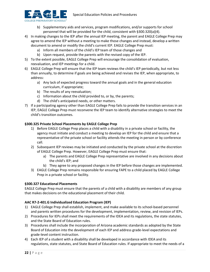

- b) Supplementary aids and services, program modifications, and/or supports for school personnel that will be provided for the child, consistent with §300.320(a)(4).
- 4) In making changes to the IEP after the annual IEP meeting, the parent and EAGLE College Prep may agree to amend the IEP without a meeting to make those changes and instead, develop a written document to amend or modify the child's current IEP. EAGLE College Prep must:
	- a) Inform all members of the child's IEP team of those changes and
	- b) Upon request, provide the parents with the revised copy of the IEP.
- 5) To the extent possible, EAGLE College Prep will encourage the consolidation of evaluation, reevaluation, and IEP meetings for a child.
- 6) EAGLE College Prep will ensure that the IEP team reviews the child's IEP periodically, but not less than annually, to determine if goals are being achieved and revises the IEP, when appropriate, to address:
	- a) Any lack of expected progress toward the annual goals and in the general education curriculum, if appropriate;
	- b) The results of any reevaluation;
	- c) Information about the child provided to, or by, the parents;
	- d) The child's anticipated needs, or other matters.
- 7) If a participating agency other than EAGLE College Prep fails to provide the transition services in an IEP, EAGLE College Prep must reconvene the IEP team to identify alternative strategies to meet the child's transition outcomes.

#### **§300.325 Private School Placements by EAGLE College Prep**

- 1) Before EAGLE College Prep places a child with a disability in a private school or facility, the agency must initiate and conduct a meeting to develop an IEP for the child and ensure that a representative of the private school or facility attends the meeting in person or by conference call.
- 2) Subsequent IEP reviews may be initiated and conducted by the private school at the discretion of EAGLE College Prep. However, EAGLE College Prep must ensure that:
	- a) The parents and EAGLE College Prep representative are involved in any decisions about the child's IEP; and
	- b) They agree to any proposed changes in the IEP before those changes are implemented.
- 3) EAGLE College Prep remains responsible for ensuring FAPE to a child placed by EAGLE College Prep in a private school or facility.

#### **§300.327 Educational Placements**

EAGLE College Prep must ensure that the parents of a child with a disability are members of any group that makes decisions on the educational placement of their child.

#### **AAC R7-2-401.G Individualized Education Program (IEP)**

- 1) EAGLE College Prep shall establish, implement, and make available to its school-based personnel and parents written procedures for the development, implementation, review, and revision of IEPs.
- 2) Procedures for IEPs shall meet the requirements of the IDEA and its regulations, the state statutes, and the State Board of Education rules.
- 3) Procedures shall include the incorporation of Arizona academic standards as adopted by the State Board of Education into the development of each IEP and address grade-level expectations and grade-level content instruction.
- 4) Each IEP of a student with a disability shall be developed in accordance with IDEA and its regulations, state statutes, and State Board of Education rules. If appropriate to meet the needs of a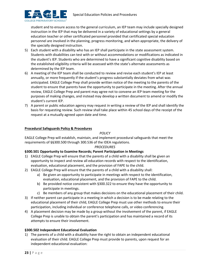



student and to ensure access to the general curriculum, an IEP team may include specially designed instruction in the IEP that may be delivered in a variety of educational settings by a general education teacher or other certificated personnel provided that certificated special education personnel are involved in the planning, progress monitoring, and when appropriate, the delivery of the specially designed instruction.

- 5) Each student with a disability who has an IEP shall participate in the state assessment system. Students with disabilities can test with or without accommodations or modifications as indicated in the student's IEP. Students who are determined to have a significant cognitive disability based on the established eligibility criteria will be assessed with the state's alternate assessments as determined by the IEP team.
- 6) A meeting of the IEP team shall be conducted to review and revise each student's IEP at least annually, or more frequently if the student's progress substantially deviates from what was anticipated. EAGLE College Prep shall provide written notice of the meeting to the parents of the student to ensure that parents have the opportunity to participate in the meeting. After the annual review, EAGLE College Prep and parent may agree not to convene an IEP team meeting for the purposes of making changes, and instead may develop a written document to amend or modify the student's current IEP.
- 7) A parent or public education agency may request in writing a review of the IEP and shall identify the basis for requesting review. Such review shall take place within 45 school days of the receipt of the request at a mutually agreed upon date and time.

# **Procedural Safeguards Policy & Procedures**

*POLICY*

EAGLE College Prep will establish, maintain, and implement procedural safeguards that meet the requirements of §§300.500 through 300.536 of the IDEA regulations.

# *PROCEDURES*

#### **§300.501 Opportunity to Examine Records; Parent Participation in Meetings**

- 1) EAGLE College Prep will ensure that the parents of a child with a disability shall be given an opportunity to inspect and review all education records with respect to the identification, evaluation, educational placement, and the provision of FAPE to the child.
- 2) EAGLE College Prep will ensure that the parents of a child with a disability shall:
	- a) Be given an opportunity to participate in meetings with respect to the identification, evaluation, educational placement, and the provision of FAPE to the child.
	- b) Be provided notice consistent with §300.322 to ensure they have the opportunity to participate in meetings.
	- c) Be members of any group that makes decisions on the educational placement of their child.
- 3) If neither parent can participate in a meeting in which a decision is to be made relating to the educational placement of their child, EAGLE College Prep must use other methods to ensure their participation, including individual or conference telephone calls, or video conferencing.
- 4) A placement decision may be made by a group without the involvement of the parent, if EAGLE College Prep is unable to obtain the parent's participation and has maintained a record of its attempts to ensure their involvement.

#### **§300.502 Independent Educational Evaluation**

1) The parents of a child with a disability have the right to obtain an independent educational evaluation of their child. EAGLE College Prep must provide to parents, upon request for an independent educational evaluation: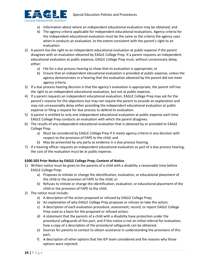

- a) Information about where an independent educational evaluation may be obtained; and
- b) The agency criteria applicable for independent educational evaluations. Agency criteria for the independent educational evaluation must be the same as the criteria the agency uses when it conducts an evaluation, to the extent consistent with the parent's right to an evaluation.
- 2) A parent has the right to an independent educational evaluation at public expense if the parent disagrees with an evaluation obtained by EAGLE College Prep. If a parent requests an independent educational evaluation at public expense, EAGLE College Prep must, without unnecessary delay, either:
	- a) File for a due process hearing to show that its evaluation is appropriate; or
	- b) Ensure that an independent educational evaluation is provided at public expense, unless the agency demonstrates in a hearing that the evaluation obtained by the parent did not meet agency criteria.
- 3) If a due process hearing decision is that the agency's evaluation is appropriate, the parent still has the right to an independent educational evaluation, but not at public expense.
- 4) If a parent requests an independent educational evaluation, EAGLE College Prep may ask for the parent's reasons for the objections but may not require the parent to provide an explanation and may not unreasonably delay either providing the independent educational evaluation at public expense or filing a request for due process to defend its evaluation.
- 5) A parent is entitled to only one independent educational evaluation at public expense each time EAGLE College Prep conducts an evaluation with which the parent disagrees.
- 6) The results of any independent educational evaluation that is obtained by or provided to EAGLE College Prep:
	- a) Must be considered by EAGLE College Prep if it meets agency criteria in any decision with respect to the provision of FAPE to the child; and
	- b) May be presented by any party as evidence in a due process hearing.
- 7) If a hearing officer requests an independent educational evaluation as part of a due process hearing, the cost of the evaluation must be at public expense.

# **§300.503 Prior Notice by EAGLE College Prep; Content of Notice**

- 1) Written notice must be given to the parents of a child with a disability a reasonable time before EAGLE College Prep:
	- a) Proposes to initiate or change the identification, evaluation, or educational placement of the child or the provision of FAPE to the child; or
	- b) Refuses to initiate or change the identification, evaluation, or educational placement of the child or the provision of FAPE to the child.
- 2) The notice must include:
	- a) A description of the action proposed or refused by EAGLE College Prep;
	- b) An explanation of why EAGLE College Prep proposes or refuses to take the action;
	- c) A description of each evaluation procedure, assessment, record, or report EAGLE College Prep used as a basis for the proposed or refused action;
	- d) A statement that the parents of a child with a disability have protection under the procedural safeguards of this part, and if this notice is not an initial referral for evaluation, how a copy of a description of the procedural safeguards can be obtained;
	- e) Sources for parents to contact to obtain assistance in understanding the provisions of this part;
	- f) A description of other options that the IEP team considered and the reasons why those options were rejected;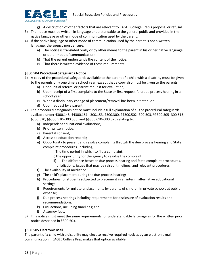

- g) A description of other factors that are relevant to EAGLE College Prep's proposal or refusal.
- 3) The notice must be written in language understandable to the general public and provided in the native language or other mode of communication used by the parent.
- 4) If the native language or other mode of communication used by the parent is not a written language, the agency must ensure:
	- a) The notice is translated orally or by other means to the parent in his or her native language or other mode of communication;
	- b) That the parent understands the content of the notice;
	- c) That there is written evidence of these requirements.

# **§300.504 Procedural Safeguards Notice**

- 1) A copy of the procedural safeguards available to the parent of a child with a disability must be given to the parents only one time a school year, except that a copy also must be given to the parents:
	- a) Upon initial referral or parent request for evaluation;
	- b) Upon receipt of a first complaint to the State or first request fora due process hearing in a school year;
	- c) When a disciplinary change of placement/removal has been initiated; or
	- d) Upon request by a parent.
- 2) The procedural safeguards notice must include a full explanation of all the procedural safeguards available under §300.148, §§300.151– 300.153, §300.300, §§300.502–300.503, §§300.505–300.515, §300.520, §§300.530–300.536, and §§300.610–300.625 relating to:
	- a) Independent educational evaluations;
	- b) Prior written notice;
	- c) Parental consent;
	- d) Access to education records;
	- e) Opportunity to present and resolve complaints through the due process hearing and State complaint procedures, including;
		- i) The time period in which to file a complaint;
		- ii)The opportunity for the agency to resolve the complaint;
		- iii) The difference between due process hearing and State complaint procedures, jurisdictions, issues that may be raised, timelines, and relevant procedures.
	- f) The availability of mediation;
	- g) The child's placement during the due process hearing;
	- h) Procedures for students subjected to placement in an interim alternative educational setting;
	- i) Requirements for unilateral placements by parents of children in private schools at public expense;
	- j) Due process hearings including requirements for disclosure of evaluation results and recommendations;
	- k) Civil actions, including timelines; and
	- l) Attorney fees.
- 3) This notice must meet the same requirements for understandable language as for the written prior notice described in §300.503.

#### **§300.505 Electronic Mail**

The parent of a child with a disability may elect to receive required notices by an electronic mail communication if EAGLE College Prep makes that option available.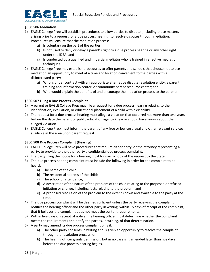

#### **§300.506 Mediation**

- 1) EAGLE College Prep will establish procedures to allow parties to dispute (including those matters arising prior to a request for a due process hearing) to resolve disputes through mediation. Procedures will ensure that the mediation process:
	- a) Is voluntary on the part of the parties;
	- b) Is not used to deny or delay a parent's right to a due process hearing or any other right under the IDEA; and
	- c) Is conducted by a qualified and impartial mediator who is trained in effective mediation techniques.
- 2) EAGLE College Prep may establish procedures to offer parents and schools that choose not to use mediation an opportunity to meet at a time and location convenient to the parties with a disinterested party:
	- a) Who is under contract with an appropriate alternative dispute resolution entity, a parent training and information center, or community parent resource center; and
	- b) Who would explain the benefits of and encourage the mediation process to the parents.

#### **§300.507 Filing a Due Process Complaint**

- 1) A parent or EAGLE College Prep may file a request for a due process hearing relating to the identification, evaluation, or educational placement of a child with a disability.
- 2) The request for a due process hearing must allege a violation that occurred not more than two years before the date the parent or public education agency knew or should have known about the alleged violation.
- 3) EAGLE College Prep must inform the parent of any free or low cost legal and other relevant services available in the area upon parent request.

#### **§300.508 Due Process Complaint (Hearing)**

- 1) EAGLE College Prep will have procedures that require either party, or the attorney representing a party, to provide to the other party a confidential due process complaint.
- 2) The party filing the notice for a hearing must forward a copy of the request to the State.
- 3) The due process hearing complaint must include the following in order for the complaint to be heard:
	- a) The name of the child;
	- b) The residential address of the child;
	- c) The school of attendance;
	- d) A description of the nature of the problem of the child relating to the proposed or refused initiation or change, including facts relating to the problem; and
	- e) A proposed resolution of the problem to the extent known and available to the party at the time.
- 4) The due process complaint will be deemed sufficient unless the party receiving the complaint notifies the hearing officer and the other party in writing, within 15 days of receipt of the complaint, that it believes the complaint does not meet the content requirements.
- 5) Within five days of receipt of notice, the hearing officer must determine whether the complaint meets the requirements and notify the parties, in writing, of that determination.
- 6) A party may amend its due process complaint only if:
	- a) The other party consents in writing and is given an opportunity to resolve the complaint through the resolution process; or
	- b) The hearing officer grants permission, but in no case is it amended later than five days before the due process hearing begins.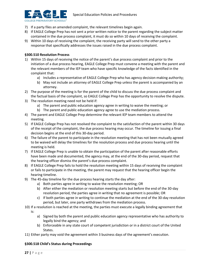

- 7) If a party files an amended complaint, the relevant timelines begin again.
- 8) If EAGLE College Prep has not sent a prior written notice to the parent regarding the subject matter contained in the due process complaint, it must do so within 10 days of receiving the complaint.
- 9) Within 10 days of receiving the complaint, the receiving party will send to the other party a response that specifically addresses the issues raised in the due process complaint.

# **§300.510 Resolution Process**

- 1) Within 15 days of receiving the notice of the parent's due process complaint and prior to the initiation of a due process hearing, EAGLE College Prep must convene a meeting with the parent and the relevant members of the IEP team who have specific knowledge of the facts identified in the complaint that:
	- a) Includes a representative of EAGLE College Prep who has agency decision-making authority;
	- b) May not include an attorney of EAGLE College Prep unless the parent is accompanied by an attorney.
- 2) The purpose of the meeting is for the parent of the child to discuss the due process complaint and the factual basis of the complaint, so EAGLE College Prep has the opportunity to resolve the dispute.
- 3) The resolution meeting need not be held if:
	- a) The parent and public education agency agree in writing to waive the meeting; or
	- b) The parent and public education agency agree to use the mediation process.
- 4) The parent and EAGLE College Prep determine the relevant IEP team members to attend the meeting.
- 5) If EAGLE College Prep has not resolved the complaint to the satisfaction of the parent within 30 days of the receipt of the complaint, the due process hearing may occur. The timeline for issuing a final decision begins at the end of this 30-day period.
- 6) The failure of the parent to participate in the resolution meeting that has not been mutually agreed to be waived will delay the timelines for the resolution process and due process hearing until the meeting is held.
- 7) If EAGLE College Prep is unable to obtain the participation of the parent after reasonable efforts have been made and documented, the agency may, at the end of the 30-day period, request that the hearing officer dismiss the parent's due process complaint.
- 8) If EAGLE College Prep fails to hold the resolution meeting within 15 days of receiving the complaint or fails to participate in the meeting, the parent may request that the hearing officer begin the hearing timeline.
- 9) The 45-day timeline for the due process hearing starts the day after:
	- a) Both parties agree in writing to waive the resolution meeting; OR
	- b) After either the mediation or resolution meeting starts but before the end of the 30-day resolution period, the parties agree in writing that no agreement is possible; OR
	- c) If both parties agree in writing to continue the mediation at the end of the 30-day resolution period, but later, one party withdraws from the mediation process.
- 10) If a resolution is reached at the meeting, the parties must execute a legally binding agreement that is:
	- a) Signed by both the parent and public education agency representative who has authority to legally bind the agency; and
	- b) Enforceable in any state court of competent jurisdiction or in a district court of the United States.

11) Either party may void the agreement within 3 business days of the agreement's execution.

#### **§300.518 Child's Status during Proceedings**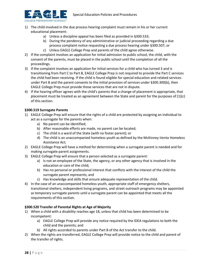

- 1) The child involved in the due process hearing complaint must remain in his or her current educational placement:
	- a) Unless a discipline appeal has been filed as provided in §300.533;
	- b) During the pendency of any administrative or judicial proceeding regarding a due process complaint notice requesting a due process hearing under §300.507; or
	- c) Unless EAGLE College Prep and parents of the child agree otherwise.
- 2) If the complaint involves an application for initial admission to public school, the child, with the consent of the parents, must be placed in the public school until the completion of all the proceedings.
- 3) If the complaint involves an application for initial services for a child who has turned 3 and is transitioning from Part C to Part B, EAGLE College Prep is not required to provide the Part C services the child had been receiving. If the child is found eligible for special education and related services under Part B and the parent consents to the initial provision of services under §300.300(b), then EAGLE College Prep must provide those services that are not in dispute.
- 4) If the hearing officer agrees with the child's parents that a change of placement is appropriate, that placement must be treated as an agreement between the State and parent for the purposes of (1)(c) of this section.

#### **§300.519 Surrogate Parents**

- 1) EAGLE College Prep will ensure that the rights of a child are protected by assigning an individual to act as a surrogate for the parents when:
	- a) No parent can be identified;
	- b) After reasonable efforts are made, no parent can be located;
	- c) The child is a ward of the State (with no foster parent); or
	- d) The child is an unaccompanied homeless youth as defined by the McKinney-Vento Homeless Assistance Act;
- 2) EAGLE College Prep will have a method for determining when a surrogate parent is needed and for making surrogate parent assignments.
- 3) EAGLE College Prep will ensure that a person selected as a surrogate parent:
	- a) Is not an employee of the State, the agency, or any other agency that is involved in the education or care of the child;
	- b) Has no personal or professional interest that conflicts with the interest of the child the surrogate parent represents; and
	- c) Has knowledge and skills that ensure adequate representation of the child.
- 4) In the case of an unaccompanied homeless youth, appropriate staff of emergency shelters, transitional shelters, independent living programs, and street outreach programs may be appointed as temporary surrogate parents until a surrogate parent can be appointed that meets all the requirements of this section.

#### **§300.520 Transfer of Parental Rights at Age of Majority**

- 1) When a child with a disability reaches age 18, unless that child has been determined to be incompetent:
	- a) EAGLE College Prep will provide any notice required by the IDEA regulations to both the child and the parents; and
	- b) All rights accorded to parents under Part B of the Act transfer to the child.
- 2) When the rights are transferred, EAGLE College Prep will provide notice to the child and parent of the transfer of rights.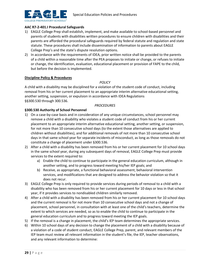

# **AAC R7-2-401.I Procedural Safeguards**

- 1) EAGLE College Prep shall establish, implement, and make available to school-based personnel and parents of students with disabilities written procedures to ensure children with disabilities and their parents are afforded the procedural safeguards required by federal statute and regulation and state statute. These procedures shall include dissemination of information to parents about EAGLE College Prep's and the state's dispute resolution options.
- 2) In accordance with the requirements of IDEA, prior written notice shall be provided to the parents of a child within a reasonable time after the PEA proposes to initiate or change, or refuses to initiate or change, the identification, evaluation, educational placement or provision of FAPE to the child, but before the decision is implemented.

#### **Discipline Policy & Procedures**

#### *POLICY*

A child with a disability may be disciplined for a violation of the student code of conduct, including removal from his or her current placement to an appropriate interim alternative educational setting, another setting, suspension, or expulsion in accordance with IDEA Regulations §§300.530 through 300.536.

#### *PROCEDURES*

#### **§300.530 Authority of School Personnel**

- 1) On a case-by-case basis and in consideration of any unique circumstances, school personnel may remove a child with a disability who violates a student code of conduct from his or her current placement to an appropriate interim alternative educational setting, another setting, or suspension, for not more than 10 consecutive school days (to the extent those alternatives are applied to children without disabilities), and for additional removals of not more than 10 consecutive school days in that same school year for separate incidents of misconduct, as long as those removals do not constitute a change of placement under §300.536.
- 2) After a child with a disability has been removed from his or her current placement for 10 school days in the same school year, during any subsequent days of removal, EAGLE College Prep must provide services to the extent required to:
	- a) Enable the child to continue to participate in the general education curriculum, although in another setting, and to progress toward meeting his/her IEP goals; and
	- b) Receive, as appropriate, a functional behavioral assessment, behavioral intervention services, and modifications that are designed to address the behavior violation so that it does not recur.
- 3) EAGLE College Prep is only required to provide services during periods of removal to a child with a disability who has been removed from his or her current placement for 10 days or less in that school year, if it provides services to nondisabled children similarly removed.
- 4) After a child with a disability has been removed from his or her current placement for 10 school days and the current removal is for not more than 10 consecutive school days and not a change of placement, school personnel, in consultation with at least one of the child's teachers, determine the extent to which services are needed, so as to enable the child to continue to participate in the general education curriculum and to progress toward meeting the IEP goals.
- 5) If the removal is a change in placement, the child's IEP team determines the appropriate services.
- 6) Within 10 school days of any decision to change the placement of a child with a disability because of a violation of a code of student conduct, EAGLE College Prep, parent, and relevant members of the IEP team must review all relevant information in the student's file, the IEP, teacher observations, and any relevant information to determine: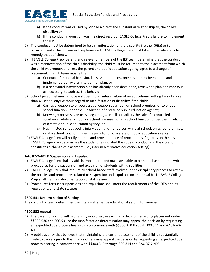

- a) If the conduct was caused by, or had a direct and substantial relationship to, the child's disability; or
- b) If the conduct in question was the direct result of EAGLE College Prep's failure to implement the IEP.
- 7) The conduct must be determined to be a manifestation of the disability if either (6)(a) or (b) occurred, and if the IEP was not implemented, EAGLE College Prep must take immediate steps to remedy that deficiency.
- 8) If EAGLE College Prep, parent, and relevant members of the IEP team determine that the conduct was a manifestation of the child's disability, the child must be returned to the placement from which the child was removed, unless the parent and public education agency agree to a change of placement. The IEP team must either:
	- a) Conduct a functional behavioral assessment, unless one has already been done, and implement a behavioral intervention plan; or
	- b) If a behavioral intervention plan has already been developed, review the plan and modify it, as necessary, to address the behavior.
- 9) School personnel may remove a student to an interim alternative educational setting for not more than 45 school days without regard to manifestation of disability if the child:
	- a) Carries a weapon to or possesses a weapon at school, on school premises, or to or at a school function under the jurisdiction of a state or public education agency;
	- b) Knowingly possesses or uses illegal drugs, or sells or solicits the sale of a controlled substance, while at school, on school premises, or at a school function under the jurisdiction of a state or public education agency; or
	- c) Has inflicted serious bodily injury upon another person while at school, on school premises, or at a school function under the jurisdiction of a state or public education agency.
- 10) EAGLE College Prep will notify parents and provide notice of procedural safeguards on the day EAGLE College Prep determines the student has violated the code of conduct and the violation constitutes a change of placement (i.e., interim alternative education setting).

#### **AAC R7-2-401.P Suspension and Expulsion**

- 1) EAGLE College Prep shall establish, implement, and make available to personnel and parents written procedures for the suspension and expulsion of students with disabilities.
- 2) EAGLE College Prep shall require all school-based staff involved in the disciplinary process to review the policies and procedures related to suspension and expulsion on an annual basis. EAGLE College Prep shall maintain documentation of staff review.
- 3) Procedures for such suspensions and expulsions shall meet the requirements of the IDEA and its regulations, and state statutes.

#### **§300.531 Determination of Setting**

The child's IEP team determines the interim alternative educational setting for services.

#### **§300.532 Appeal**

- 1) The parent of a child with a disability who disagrees with any decision regarding placement under §§300.530 and 300.531 or the manifestation determination may appeal the decision by requesting an expedited due process hearing in conformance with §§300.310 through 300.314 and AAC R7-2- 405.I.
- 2) A public agency that believes that maintaining the current placement of the child is substantially likely to cause injury to the child or others may appeal the decision by requesting an expedited due process hearing in conformance with §§300.310 through 300.314 and AAC R7-2-405.I.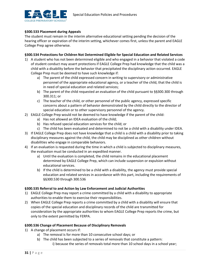

#### **§300.533 Placement during Appeals**

The student must remain in the interim alternative educational setting pending the decision of the hearing officer or expiration of the interim setting, whichever comes first, unless the parent and EAGLE College Prep agree otherwise.

#### **§300.534 Protections for Children Not Determined Eligible for Special Education and Related Services**

- 1) A student who has not been determined eligible and who engaged in a behavior that violated a code of student conduct may assert protections if EAGLE College Prep had knowledge that the child was a child with a disability before the behavior that precipitated the disciplinary action occurred. EAGLE College Prep must be deemed to have such knowledge if:
	- a) The parent of the child expressed concern in writing to supervisory or administrative personnel of the appropriate educational agency, or a teacher of the child, that the child is in need of special education and related services;
	- b) The parent of the child requested an evaluation of the child pursuant to §§300.300 through 300.311; or
	- c) The teacher of the child, or other personnel of the public agency, expressed specific concerns about a pattern of behavior demonstrated by the child directly to the director of special education or to other supervisory personnel of the agency.
- 2) EAGLE College Prep would not be deemed to have knowledge if the parent of the child:
	- a) Has not allowed an IDEA evaluation of the child;
	- b) Has refused special education services for the child; or
	- c) The child has been evaluated and determined to not be a child with a disability under IDEA.
- 3) If EAGLE College Prep does not have knowledge that a child is a child with a disability prior to taking disciplinary measures against the child, the child may be disciplined as other children without disabilities who engage in comparable behaviors.
- 4) If an evaluation is requested during the time in which a child is subjected to disciplinary measures, the evaluation must be conducted in an expedited manner.
	- a) Until the evaluation is completed, the child remains in the educational placement determined by EAGLE College Prep, which can include suspension or expulsion without educational services.
	- b) If the child is determined to be a child with a disability, the agency must provide special education and related services in accordance with this part, including the requirements of §§300.530 through 300.536

#### **§300.535 Referral to and Action by Law Enforcement and Judicial Authorities**

- 1) EAGLE College Prep may report a crime committed by a child with a disability to appropriate authorities to enable them to exercise their responsibilities.
- 2) When EAGLE College Prep reports a crime committed by a child with a disability will ensure that copies of the special education and disciplinary records of the child are transmitted for consideration by the appropriate authorities to whom EAGLE College Prep reports the crime, but only to the extent permitted by FERPA.

#### **§300.536 Change of Placement Because of Disciplinary Removals**

- 1) A change of placement occurs if:
	- a) The removal is for more than 10 consecutive school days; or
	- b) The child has been subjected to a series of removals that constitute a pattern: i) because the series of removals total more than 10 school days in a school year;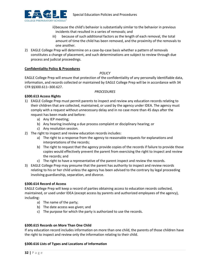

ii)because the child's behavior is substantially similar to the behavior in previous incidents that resulted in a series of removals; and

- iii) because of such additional factors as the length of each removal, the total amount of time the child has been removed, and the proximity of the removals to one another.
- 2) EAGLE College Prep will determine on a case-by-case basis whether a pattern of removals constitutes a change of placement, and such determinations are subject to review through due process and judicial proceedings.

#### **Confidentiality Policy & Procedures**

#### *POLICY*

EAGLE College Prep will ensure that protection of the confidentiality of any personally identifiable data, information, and records collected or maintained by EAGLE College Prep will be in accordance with 34 CFR §§300.611–300.627.

#### *PROCEDURES*

# **§300.613 Access Rights**

- 1) EAGLE College Prep must permit parents to inspect and review any education records relating to their children that are collected, maintained, or used by the agency under IDEA. The agency must comply with a request without unnecessary delay and in no case more than 45 days after the request has been made and before:
	- a) Any IEP meeting;
	- b) Any hearing involving a due process complaint or disciplinary hearing; or
	- c) Any resolution session.
- 2) The right to inspect and review education records includes:
	- a) The right to a response from the agency to reasonable requests for explanations and interpretations of the records;
	- b) The right to request that the agency provide copies of the records if failure to provide those copies would effectively prevent the parent from exercising the right to inspect and review the records; and
	- c) The right to have a representative of the parent inspect and review the records.
- 3) EAGLE College Prep may presume that the parent has authority to inspect and review records relating to his or her child unless the agency has been advised to the contrary by legal proceeding involving guardianship, separation, and divorce.

#### **§300.614 Record of Access**

EAGLE College Prep will keep a record of parties obtaining access to education records collected, maintained, or used under IDEA (except access by parents and authorized employees of the agency), including:

- a) The name of the party;
- b) The date access was given; and
- c) The purpose for which the party is authorized to use the records.

#### **§300.615 Records on More Than One Child**

If any education record includes information on more than one child, the parents of those children have the right to inspect and review only the information relating to their child.

#### **§300.616 Lists of Types and Locations of Information**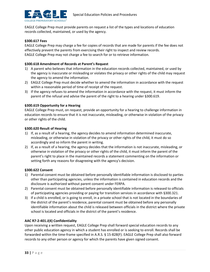

EAGLE College Prep must provide parents on request a list of the types and locations of education records collected, maintained, or used by the agency.

#### **§300.617 Fees**

EAGLE College Prep may charge a fee for copies of records that are made for parents if the fee does not effectively prevent the parents from exercising their right to inspect and review records. EAGLE College Prep may not charge a fee to search for or to retrieve information.

#### **§300.618 Amendment of Records at Parent's Request**

- 1) A parent who believes that information in the education records collected, maintained, or used by the agency is inaccurate or misleading or violates the privacy or other rights of the child may request the agency to amend the information.
- 2) EAGLE College Prep must decide whether to amend the information in accordance with the request within a reasonable period of time of receipt of the request.
- 3) If the agency refuses to amend the information in accordance with the request, it must inform the parent of the refusal and advise the parent of the right to a hearing under §300.619.

#### **§300.619 Opportunity for a Hearing**

EAGLE College Prep must, on request, provide an opportunity for a hearing to challenge information in education records to ensure that it is not inaccurate, misleading, or otherwise in violation of the privacy or other rights of the child.

#### **§300.620 Result of Hearing**

- 1) If, as a result of a hearing, the agency decides to amend information determined inaccurate, misleading, or otherwise in violation of the privacy or other rights of the child, it must do so accordingly and so inform the parent in writing.
- 2) If, as a result of a hearing, the agency decides that the information is not inaccurate, misleading, or otherwise in violation of the privacy or other rights of the child, it must inform the parent of the parent's right to place in the maintained records a statement commenting on the information or setting forth any reasons for disagreeing with the agency's decision.

#### **§300.622 Consent**

- 1) Parental consent must be obtained before personally identifiable information is disclosed to parties other than participating agencies, unless the information is contained in education records and the disclosure is authorized without parent consent under FERPA.
- 2) Parental consent must be obtained before personally identifiable information is released to officials of participating agencies providing or paying for transition services in accordance with §300.321.
- 3) If a child is enrolled, or is going to enroll, in a private school that is not located in the boundaries of the district of the parent's residence, parental consent must be obtained before any personally identifiable information about the child is released between officials in the district where the private school is located and officials in the district of the parent's residence.

#### **AAC R7-2-401.J(4) Confidentiality**

Upon receiving a written request, EAGLE College Prep shall forward special education records to any other public education agency in which a student has enrolled or is seeking to enroll. Records shall be forwarded within the time-frame specified in A.R.S. § 15-828(F). EAGLE College Prep shall also forward records to any other person or agency for which the parents have given signed consent.